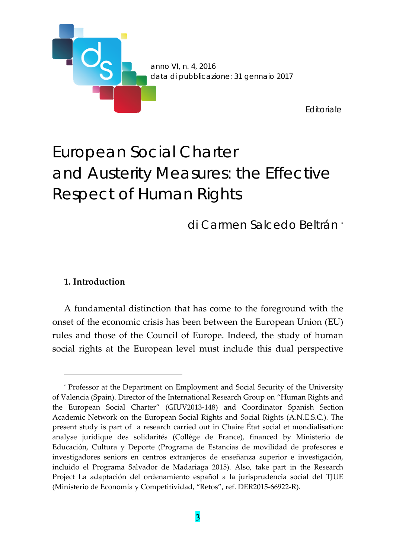

# European Social Charter and Austerity Measures: the Effective Respect of Human Rights

di Carmen Salcedo Beltrán \*

#### **1. Introduction**

<u> 1989 - Johann Barn, mars eta bainar eta politikaria (h. 1989).</u>

A fundamental distinction that has come to the foreground with the onset of the economic crisis has been between the European Union (EU) rules and those of the Council of Europe. Indeed, the study of human social rights at the European level must include this dual perspective

<sup>\*</sup> Professor at the Department on Employment and Social Security of the University of Valencia (Spain). Director of the International Research Group on "Human Rights and the European Social Charter" (GIUV2013‐148) and Coordinator Spanish Section Academic Network on the European Social Rights and Social Rights (A.N.E.S.C.). The present study is part of a research carried out in Chaire État social et mondialisation: analyse juridique des solidarités (Collège de France), financed by Ministerio de Educación, Cultura y Deporte (Programa de Estancias de movilidad de profesores e investigadores seniors en centros extranjeros de enseñanza superior e investigación, incluido el Programa Salvador de Madariaga 2015). Also, take part in the Research Project La adaptación del ordenamiento español a la jurisprudencia social del TJUE (Ministerio de Economía y Competitividad, "Retos", ref. DER2015‐66922‐R).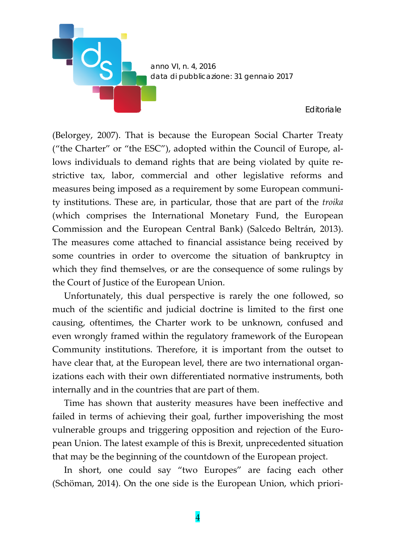

(Belorgey, 2007). That is because the European Social Charter Treaty ("the Charter" or "the ESC"), adopted within the Council of Europe, al‐ lows individuals to demand rights that are being violated by quite restrictive tax, labor, commercial and other legislative reforms and measures being imposed as a requirement by some European communi‐ ty institutions. These are, in particular, those that are part of the *troika* (which comprises the International Monetary Fund, the European Commission and the European Central Bank) (Salcedo Beltrán, 2013). The measures come attached to financial assistance being received by some countries in order to overcome the situation of bankruptcy in which they find themselves, or are the consequence of some rulings by the Court of Justice of the European Union.

Unfortunately, this dual perspective is rarely the one followed, so much of the scientific and judicial doctrine is limited to the first one causing, oftentimes, the Charter work to be unknown, confused and even wrongly framed within the regulatory framework of the European Community institutions. Therefore, it is important from the outset to have clear that, at the European level, there are two international organizations each with their own differentiated normative instruments, both internally and in the countries that are part of them.

Time has shown that austerity measures have been ineffective and failed in terms of achieving their goal, further impoverishing the most vulnerable groups and triggering opposition and rejection of the Euro‐ pean Union. The latest example of this is Brexit, unprecedented situation that may be the beginning of the countdown of the European project.

In short, one could say "two Europes" are facing each other (Schöman, 2014). On the one side is the European Union, which priori‐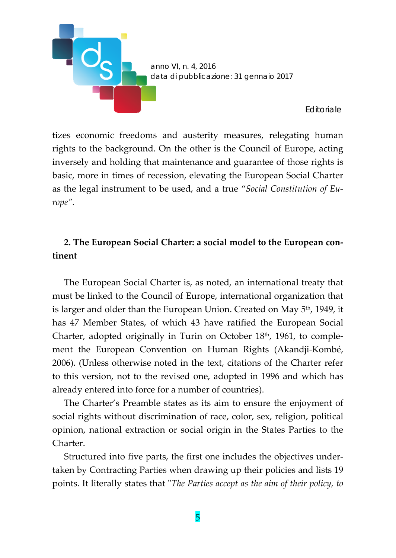

tizes economic freedoms and austerity measures, relegating human rights to the background. On the other is the Council of Europe, acting inversely and holding that maintenance and guarantee of those rights is basic, more in times of recession, elevating the European Social Charter as the legal instrument to be used, and a true "*Social Constitution of Eu‐ rope".*

## **2. The European Social Charter: a social model to the European con‐ tinent**

The European Social Charter is, as noted, an international treaty that must be linked to the Council of Europe, international organization that is larger and older than the European Union. Created on May 5<sup>th</sup>, 1949, it has 47 Member States, of which 43 have ratified the European Social Charter, adopted originally in Turin on October 18<sup>th</sup>, 1961, to complement the European Convention on Human Rights (Akandji‐Kombé, 2006). (Unless otherwise noted in the text, citations of the Charter refer to this version, not to the revised one, adopted in 1996 and which has already entered into force for a number of countries).

The Charter's Preamble states as its aim to ensure the enjoyment of social rights without discrimination of race, color, sex, religion, political opinion, national extraction or social origin in the States Parties to the Charter.

Structured into five parts, the first one includes the objectives under‐ taken by Contracting Parties when drawing up their policies and lists 19 points. It literally states that ʺ*The Parties accept as the aim of their policy, to*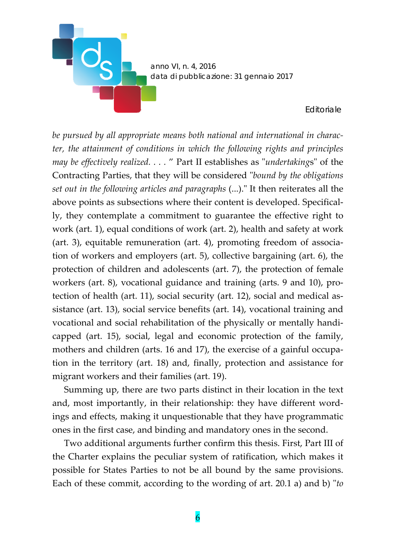*anno VI, n. 4, 2016 data di pubblicazione: 31 gennaio 2017*

*Editoriale*

*be pursued by all appropriate means both national and international in charac‐ ter, the attainment of conditions in which the following rights and principles may* be effectively realized. . . . " Part II establishes as "undertakings" of the Contracting Parties, that they will be considered ʺ*bound by the obligations set out in the following articles and paragraphs* (...).ʺ It then reiterates all the above points as subsections where their content is developed. Specifical‐ ly, they contemplate a commitment to guarantee the effective right to work (art. 1), equal conditions of work (art. 2), health and safety at work (art. 3), equitable remuneration (art. 4), promoting freedom of associa‐ tion of workers and employers (art. 5), collective bargaining (art. 6), the protection of children and adolescents (art. 7), the protection of female workers (art. 8), vocational guidance and training (arts. 9 and 10), protection of health (art. 11), social security (art. 12), social and medical assistance (art. 13), social service benefits (art. 14), vocational training and vocational and social rehabilitation of the physically or mentally handi‐ capped (art. 15), social, legal and economic protection of the family, mothers and children (arts. 16 and 17), the exercise of a gainful occupation in the territory (art. 18) and, finally, protection and assistance for migrant workers and their families (art. 19).

Summing up, there are two parts distinct in their location in the text and, most importantly, in their relationship: they have different word‐ ings and effects, making it unquestionable that they have programmatic ones in the first case, and binding and mandatory ones in the second.

Two additional arguments further confirm this thesis. First, Part III of the Charter explains the peculiar system of ratification, which makes it possible for States Parties to not be all bound by the same provisions. Each of these commit, according to the wording of art. 20.1 a) and b) "to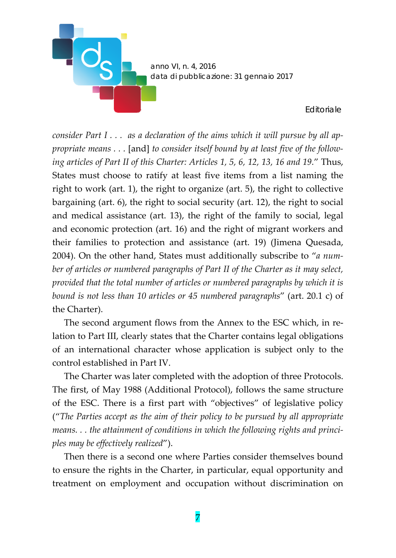

consider Part  $I \ldots$  as a declaration of the aims which it will pursue by all ap*propriate means . . .* [and] *to consider itself bound by at least five of the follow‐ ing articles of Part II of this Charter: Articles 1, 5, 6, 12, 13, 16 and 19.*" Thus, States must choose to ratify at least five items from a list naming the right to work (art. 1), the right to organize (art. 5), the right to collective bargaining (art. 6), the right to social security (art. 12), the right to social and medical assistance (art. 13), the right of the family to social, legal and economic protection (art. 16) and the right of migrant workers and their families to protection and assistance (art. 19) (Jimena Quesada, 2004). On the other hand, States must additionally subscribe to "*a num‐ ber of articles or numbered paragraphs of Part II of the Charter as it may select, provided that the total number of articles or numbered paragraphs by which it is bound is not less than 10 articles or 45 numbered paragraphs*" (art. 20.1 c) of the Charter).

The second argument flows from the Annex to the ESC which, in relation to Part III, clearly states that the Charter contains legal obligations of an international character whose application is subject only to the control established in Part IV.

The Charter was later completed with the adoption of three Protocols. The first, of May 1988 (Additional Protocol), follows the same structure of the ESC. There is a first part with "objectives" of legislative policy ("*The Parties accept as the aim of their policy to be pursued by all appropriate means. . . the attainment of conditions in which the following rights and princi‐ ples may be effectively realized*").

Then there is a second one where Parties consider themselves bound to ensure the rights in the Charter, in particular, equal opportunity and treatment on employment and occupation without discrimination on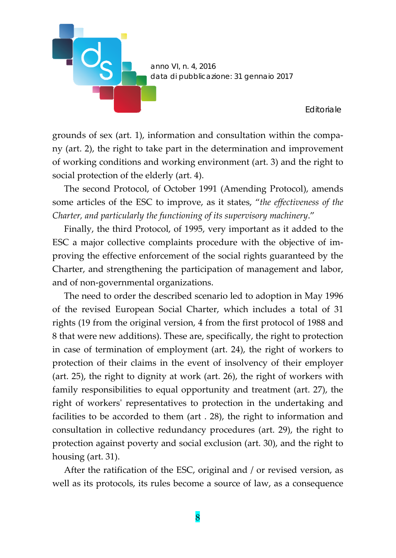

grounds of sex (art. 1), information and consultation within the compa‐ ny (art. 2), the right to take part in the determination and improvement of working conditions and working environment (art. 3) and the right to social protection of the elderly (art. 4).

The second Protocol, of October 1991 (Amending Protocol), amends some articles of the ESC to improve, as it states, "*the effectiveness of the Charter, and particularly the functioning of its supervisory machinery*."

Finally, the third Protocol, of 1995, very important as it added to the ESC a major collective complaints procedure with the objective of im‐ proving the effective enforcement of the social rights guaranteed by the Charter, and strengthening the participation of management and labor, and of non‐governmental organizations.

The need to order the described scenario led to adoption in May 1996 of the revised European Social Charter, which includes a total of 31 rights (19 from the original version, 4 from the first protocol of 1988 and 8 that were new additions). These are, specifically, the right to protection in case of termination of employment (art. 24), the right of workers to protection of their claims in the event of insolvency of their employer (art. 25), the right to dignity at work (art. 26), the right of workers with family responsibilities to equal opportunity and treatment (art. 27), the right of workersʹ representatives to protection in the undertaking and facilities to be accorded to them (art . 28), the right to information and consultation in collective redundancy procedures (art. 29), the right to protection against poverty and social exclusion (art. 30), and the right to housing (art. 31).

After the ratification of the ESC, original and / or revised version, as well as its protocols, its rules become a source of law, as a consequence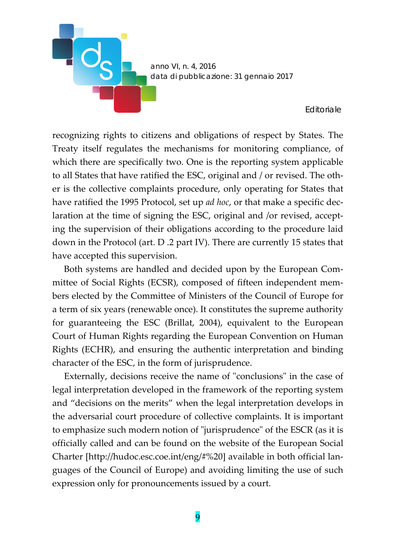

recognizing rights to citizens and obligations of respect by States. The Treaty itself regulates the mechanisms for monitoring compliance, of which there are specifically two. One is the reporting system applicable to all States that have ratified the ESC, original and / or revised. The oth‐ er is the collective complaints procedure, only operating for States that have ratified the 1995 Protocol, set up *ad hoc*, or that make a specific dec‐ laration at the time of signing the ESC, original and /or revised, accept‐ ing the supervision of their obligations according to the procedure laid down in the Protocol (art. D .2 part IV). There are currently 15 states that have accepted this supervision.

**D**<sub>S</sub>

Both systems are handled and decided upon by the European Com‐ mittee of Social Rights (ECSR), composed of fifteen independent mem‐ bers elected by the Committee of Ministers of the Council of Europe for a term of six years (renewable once). It constitutes the supreme authority for guaranteeing the ESC (Brillat, 2004), equivalent to the European Court of Human Rights regarding the European Convention on Human Rights (ECHR), and ensuring the authentic interpretation and binding character of the ESC, in the form of jurisprudence.

Externally, decisions receive the name of "conclusions" in the case of legal interpretation developed in the framework of the reporting system and "decisions on the merits" when the legal interpretation develops in the adversarial court procedure of collective complaints. It is important to emphasize such modern notion of "jurisprudence" of the ESCR (as it is officially called and can be found on the website of the European Social Charter [http://hudoc.esc.coe.int/eng/#%20] available in both official lan‐ guages of the Council of Europe) and avoiding limiting the use of such expression only for pronouncements issued by a court.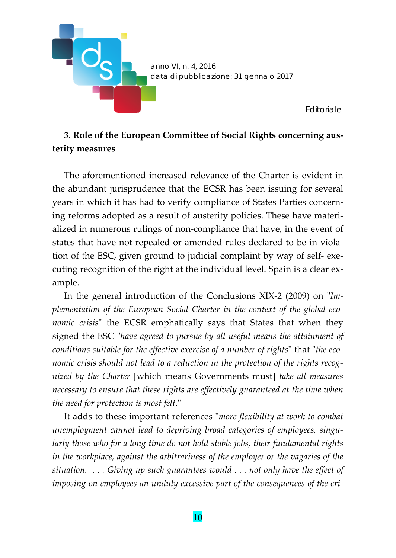

# **3. Role of the European Committee of Social Rights concerning aus‐ terity measures**

The aforementioned increased relevance of the Charter is evident in the abundant jurisprudence that the ECSR has been issuing for several years in which it has had to verify compliance of States Parties concern‐ ing reforms adopted as a result of austerity policies. These have materi‐ alized in numerous rulings of non‐compliance that have, in the event of states that have not repealed or amended rules declared to be in violation of the ESC, given ground to judicial complaint by way of self‐ exe‐ cuting recognition of the right at the individual level. Spain is a clear example.

In the general introduction of the Conclusions XIX-2 (2009) on "Im*plementation of the European Social Charter in the context of the global eco‐ nomic crisis*" the ECSR emphatically says that States that when they signed the ESC ʺ*have agreed to pursue by all useful means the attainment of conditions suitable for the effective exercise of a number of rights*ʺ that ʺ*the eco‐ nomic crisis should not lead to a reduction in the protection of the rights recog‐ nized by the Charter* [which means Governments must] *take all measures necessary to ensure that these rights are effectively guaranteed at the time when the need for protection is most felt*.ʺ

It adds to these important references ʺ*more flexibility at work to combat unemployment cannot lead to depriving broad categories of employees, singu‐ larly those who for a long time do not hold stable jobs, their fundamental rights in the workplace, against the arbitrariness of the employer or the vagaries of the situation. . . . Giving up such guarantees would . . . not only have the effect of imposing on employees an unduly excessive part of the consequences of the cri‐*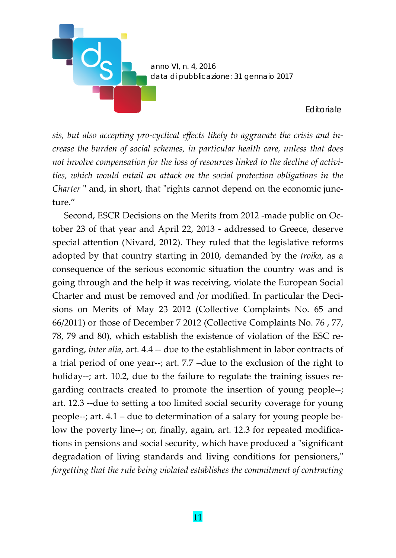

*sis, but also accepting pro‐cyclical effects likely to aggravate the crisis and in‐ crease the burden of social schemes, in particular health care, unless that does not involve compensation for the loss of resources linked to the decline of activi‐ ties, which would entail an attack on the social protection obligations in the Charter* " and, in short, that "rights cannot depend on the economic juncture."

Second, ESCR Decisions on the Merits from 2012 -made public on October 23 of that year and April 22, 2013 ‐ addressed to Greece, deserve special attention (Nivard, 2012). They ruled that the legislative reforms adopted by that country starting in 2010, demanded by the *troika*, as a consequence of the serious economic situation the country was and is going through and the help it was receiving, violate the European Social Charter and must be removed and /or modified. In particular the Decisions on Merits of May 23 2012 (Collective Complaints No. 65 and 66/2011) or those of December 7 2012 (Collective Complaints No. 76 , 77, 78, 79 and 80), which establish the existence of violation of the ESC re‐ garding, *inter alia*, art. 4.4 ‐‐ due to the establishment in labor contracts of a trial period of one year‐‐; art. 7.7 –due to the exclusion of the right to holiday--; art. 10.2, due to the failure to regulate the training issues regarding contracts created to promote the insertion of young people‐‐; art. 12.3 ‐‐due to setting a too limited social security coverage for young people‐‐; art. 4.1 – due to determination of a salary for young people be‐ low the poverty line--; or, finally, again, art. 12.3 for repeated modifications in pensions and social security, which have produced a "significant" degradation of living standards and living conditions for pensioners," *forgetting that the rule being violated establishes the commitment of contracting*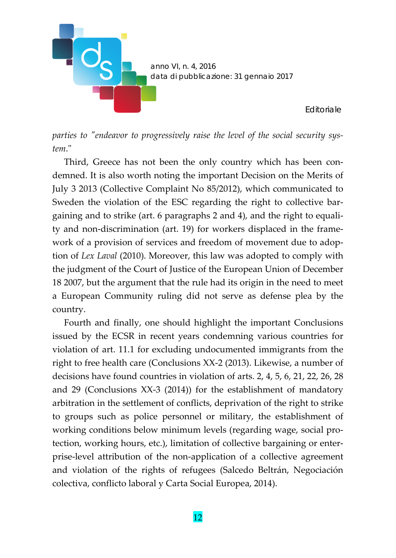

*parties to ʺendeavor to progressively raise the level of the social security sys‐ tem*.ʺ

Third, Greece has not been the only country which has been condemned. It is also worth noting the important Decision on the Merits of July 3 2013 (Collective Complaint No 85/2012), which communicated to Sweden the violation of the ESC regarding the right to collective bargaining and to strike (art. 6 paragraphs 2 and 4), and the right to equali‐ ty and non‐discrimination (art. 19) for workers displaced in the frame‐ work of a provision of services and freedom of movement due to adoption of *Lex Laval* (2010). Moreover, this law was adopted to comply with the judgment of the Court of Justice of the European Union of December 18 2007, but the argument that the rule had its origin in the need to meet a European Community ruling did not serve as defense plea by the country.

Fourth and finally, one should highlight the important Conclusions issued by the ECSR in recent years condemning various countries for violation of art. 11.1 for excluding undocumented immigrants from the right to free health care (Conclusions XX‐2 (2013). Likewise, a number of decisions have found countries in violation of arts. 2, 4, 5, 6, 21, 22, 26, 28 and 29 (Conclusions XX‐3 (2014)) for the establishment of mandatory arbitration in the settlement of conflicts, deprivation of the right to strike to groups such as police personnel or military, the establishment of working conditions below minimum levels (regarding wage, social pro‐ tection, working hours, etc.), limitation of collective bargaining or enter‐ prise‐level attribution of the non‐application of a collective agreement and violation of the rights of refugees (Salcedo Beltrán, Negociación colectiva, conflicto laboral y Carta Social Europea, 2014).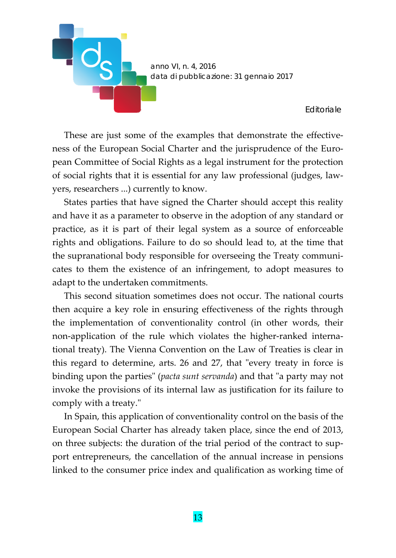

These are just some of the examples that demonstrate the effectiveness of the European Social Charter and the jurisprudence of the European Committee of Social Rights as a legal instrument for the protection of social rights that it is essential for any law professional (judges, law‐ yers, researchers ...) currently to know.

States parties that have signed the Charter should accept this reality and have it as a parameter to observe in the adoption of any standard or practice, as it is part of their legal system as a source of enforceable rights and obligations. Failure to do so should lead to, at the time that the supranational body responsible for overseeing the Treaty communi‐ cates to them the existence of an infringement, to adopt measures to adapt to the undertaken commitments.

This second situation sometimes does not occur. The national courts then acquire a key role in ensuring effectiveness of the rights through the implementation of conventionality control (in other words, their non-application of the rule which violates the higher-ranked international treaty). The Vienna Convention on the Law of Treaties is clear in this regard to determine, arts. 26 and 27, that "every treaty in force is binding upon the parties" (*pacta sunt servanda*) and that "a party may not invoke the provisions of its internal law as justification for its failure to comply with a treaty."

In Spain, this application of conventionality control on the basis of the European Social Charter has already taken place, since the end of 2013, on three subjects: the duration of the trial period of the contract to sup‐ port entrepreneurs, the cancellation of the annual increase in pensions linked to the consumer price index and qualification as working time of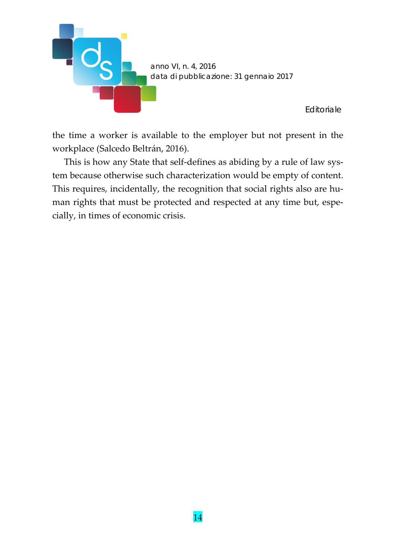

the time a worker is available to the employer but not present in the workplace (Salcedo Beltrán, 2016).

This is how any State that self-defines as abiding by a rule of law system because otherwise such characterization would be empty of content. This requires, incidentally, the recognition that social rights also are human rights that must be protected and respected at any time but, especially, in times of economic crisis.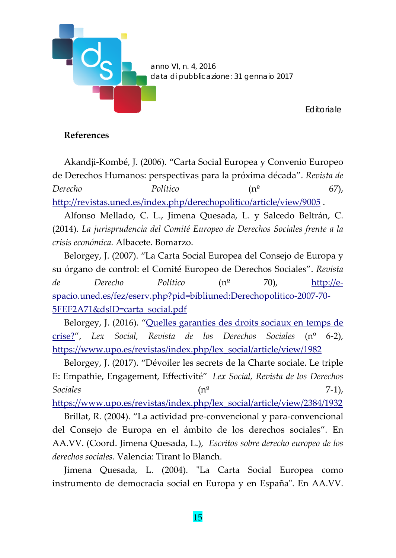

### **References**

Akandji‐Kombé, J. (2006). "Carta Social Europea y Convenio Europeo de Derechos Humanos: perspectivas para la próxima década". *Revista de Derecho Político* (nº 67), http://revistas.uned.es/index.php/derechopolitico/article/view/9005 .

Alfonso Mellado, C. L., Jimena Quesada, L. y Salcedo Beltrán, C. (2014). *La jurisprudencia del Comité Europeo de Derechos Sociales frente a la crisis económica.* Albacete. Bomarzo.

Belorgey, J. (2007). "La Carta Social Europea del Consejo de Europa y su órgano de control: el Comité Europeo de Derechos Sociales". *Revista de Derecho Político* (nº 70), http://e‐ spacio.uned.es/fez/eserv.php?pid=bibliuned:Derechopolitico‐2007‐70‐ 5FEF2A71&dsID=carta\_social.pdf

Belorgey, J. (2016). "Quelles garanties des droits sociaux en temps de crise?", *Lex Social, Revista de los Derechos Sociales* (nº 6‐2), https://www.upo.es/revistas/index.php/lex\_social/article/view/1982

Belorgey, J. (2017). "Dévoiler les secrets de la Charte sociale. Le triple E: Empathie, Engagement, Effectivité" *Lex Social, Revista de los Derechos Sociales* (nº 7‐1),

https://www.upo.es/revistas/index.php/lex\_social/article/view/2384/1932

Brillat, R. (2004). "La actividad pre‐convencional y para‐convencional del Consejo de Europa en el ámbito de los derechos sociales". En AA.VV. (Coord. Jimena Quesada, L.), *Escritos sobre derecho europeo de los derechos sociales*. Valencia: Tirant lo Blanch.

Jimena Quesada, L. (2004). "La Carta Social Europea como instrumento de democracia social en Europa y en España". En AA.VV.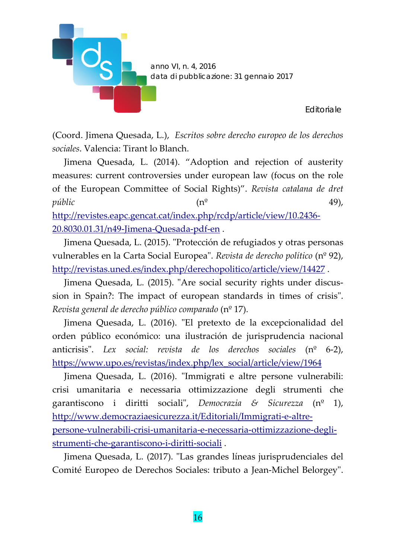

(Coord. Jimena Quesada, L.), *Escritos sobre derecho europeo de los derechos sociales*. Valencia: Tirant lo Blanch.

Jimena Quesada, L. (2014). "Adoption and rejection of austerity measures: current controversies under european law (focus on the role of the European Committee of Social Rights)". *Revista catalana de dret públic* (nº 49), http://revistes.eapc.gencat.cat/index.php/rcdp/article/view/10.2436‐ 20.8030.01.31/n49-Jimena-Quesada-pdf-en.

Jimena Quesada, L. (2015). "Protección de refugiados y otras personas vulnerables en la Carta Social Europeaʺ. *Revista de derecho político* (nº 92), http://revistas.uned.es/index.php/derechopolitico/article/view/14427 .

Jimena Quesada, L. (2015). "Are social security rights under discussion in Spain?: The impact of european standards in times of crisis". *Revista general de derecho público comparado* (nº 17).

Jimena Quesada, L. (2016). "El pretexto de la excepcionalidad del orden público económico: una ilustración de jurisprudencia nacional anticrisisʺ. *Lex social: revista de los derechos sociales* (nº 6‐2), https://www.upo.es/revistas/index.php/lex\_social/article/view/1964

Jimena Quesada, L. (2016). "Immigrati e altre persone vulnerabili: crisi umanitaria e necessaria ottimizzazione degli strumenti che garantiscono i diritti socialiʺ, *Democrazia & Sicurezza* (nº 1), http://www.democraziaesicurezza.it/Editoriali/Immigrati‐e‐altre‐ persone‐vulnerabili‐crisi‐umanitaria‐e‐necessaria‐ottimizzazione‐degli‐ strumenti‐che‐garantiscono‐i‐diritti‐sociali .

Jimena Quesada, L. (2017). "Las grandes líneas jurisprudenciales del Comité Europeo de Derechos Sociales: tributo a Jean-Michel Belorgey".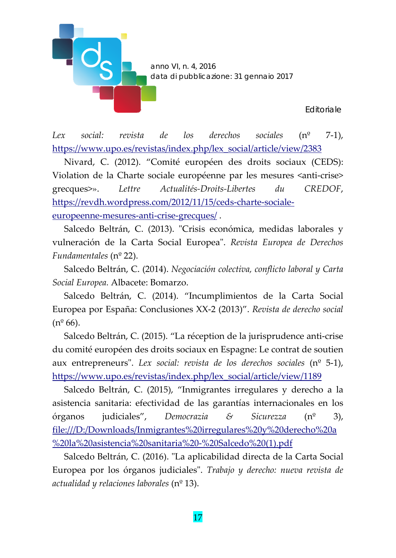

*Lex social: revista de los derechos sociales* (nº 7‐1), https://www.upo.es/revistas/index.php/lex\_social/article/view/2383

Nivard, C. (2012). "Comité européen des droits sociaux (CEDS): Violation de la Charte sociale européenne par les mesures <anti‐crise> grecques>». *Lettre Actualités‐Droits‐Libertes du CREDOF*, https://revdh.wordpress.com/2012/11/15/ceds‐charte‐sociale‐ europeenne‐mesures‐anti‐crise‐grecques/ .

Salcedo Beltrán, C. (2013). "Crisis económica, medidas laborales y vulneración de la Carta Social Europeaʺ. *Revista Europea de Derechos Fundamentales* (nº 22).

Salcedo Beltrán, C. (2014). *Negociación colectiva, conflicto laboral y Carta Social Europea.* Albacete: Bomarzo.

Salcedo Beltrán, C. (2014). "Incumplimientos de la Carta Social Europea por España: Conclusiones XX‐2 (2013)". *Revista de derecho social*  $(n^{\circ} 66)$ .

Salcedo Beltrán, C. (2015). "La réception de la jurisprudence anti‐crise du comité européen des droits sociaux en Espagne: Le contrat de soutien aux entrepreneursʺ. *Lex social: revista de los derechos sociales* (nº 5‐1), https://www.upo.es/revistas/index.php/lex\_social/article/view/1189

Salcedo Beltrán, C. (2015), "Inmigrantes irregulares y derecho a la asistencia sanitaria: efectividad de las garantías internacionales en los órganos judiciales", *Democrazia & Sicurezza* (nº 3), file:///D:/Downloads/Inmigrantes%20irregulares%20y%20derecho%20a %20la%20asistencia%20sanitaria%20‐%20Salcedo%20(1).pdf

Salcedo Beltrán, C. (2016). "La aplicabilidad directa de la Carta Social Europea por los órganos judicialesʺ. *Trabajo y derecho: nueva revista de actualidad y relaciones laborales* (nº 13).